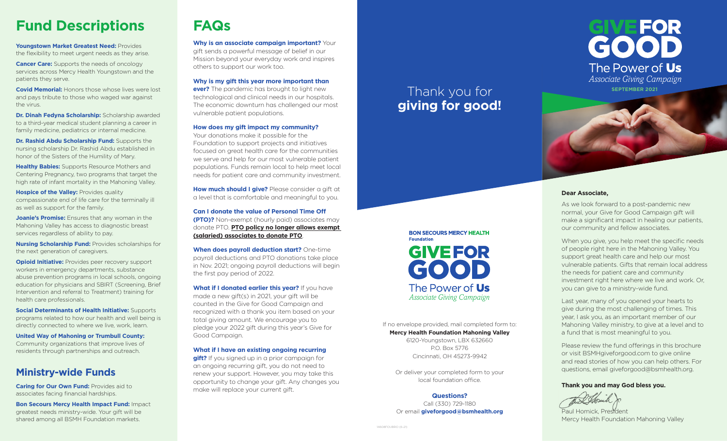## **Fund Descriptions**

**Youngstown Market Greatest Need:** Provides the flexibility to meet urgent needs as they arise.

**Cancer Care:** Supports the needs of oncology services across Mercy Health Youngstown and the patients they serve.

**Covid Memorial:** Honors those whose lives were lost and pays tribute to those who waged war against the virus.

**Dr. Dinah Fedyna Scholarship:** Scholarship awarded to a third-year medical student planning a career in family medicine, pediatrics or internal medicine.

**Dr. Rashid Abdu Scholarship Fund:** Supports the nursing scholarship Dr. Rashid Abdu established in honor of the Sisters of the Humility of Mary.

**Healthy Babies:** Supports Resource Mothers and Centering Pregnancy, two programs that target the high rate of infant mortality in the Mahoning Valley.

**Hospice of the Valley: Provides quality** compassionate end of life care for the terminally ill as well as support for the family.

**Joanie's Promise:** Ensures that any woman in the Mahoning Valley has access to diagnostic breast services regardless of ability to pay.

**Nursing Scholarship Fund:** Provides scholarships for the next generation of caregivers.

**Opioid Initiative:** Provides peer recovery support workers in emergency departments, substance abuse prevention programs in local schools, ongoing education for physicians and SBIRT (Screening, Brief Intervention and referral to Treatment) training for health care professionals.

**Social Determinants of Health Initiative:** Supports programs related to how our health and well being is directly connected to where we live, work, learn.

**United Way of Mahoning or Trumbull County:**  Community organizations that improve lives of residents through partnerships and outreach.

## **Ministry-wide Funds**

**Caring for Our Own Fund: Provides aid to** associates facing financial hardships.

**Bon Secours Mercy Health Impact Fund:** Impact greatest needs ministry-wide. Your gift will be shared among all BSMH Foundation markets.

## **FAQs**

**Why is an associate campaign important?** Your gift sends a powerful message of belief in our Mission beyond your everyday work and inspires others to support our work too.

**Why is my gift this year more important than** 

**ever?** The pandemic has brought to light new technological and clinical needs in our hospitals. The economic downturn has challenged our most vulnerable patient populations.

## **How does my gift impact my community?**

Your donations make it possible for the Foundation to support projects and initiatives focused on great health care for the communities we serve and help for our most vulnerable patient populations. Funds remain local to help meet local needs for patient care and community investment.

**How much should I give?** Please consider a gift at a level that is comfortable and meaningful to you.

**Can I donate the value of Personal Time Off (PTO)?** Non-exempt (hourly paid) associates may donate PTO. **PTO policy no longer allows exempt (salaried) associates to donate PTO**.

**When does payroll deduction start?** One-time payroll deductions and PTO donations take place in Nov. 2021; ongoing payroll deductions will begin the first pay period of 2022.

**What if I donated earlier this year?** If you have made a new gift(s) in 2021, your gift will be counted in the Give for Good Campaign and recognized with a thank you item based on your total giving amount. We encourage you to pledge your 2022 gift during this year's Give for Good Campaign.

**What if I have an existing ongoing recurring** 

**gift?** If you signed up in a prior campaign for an ongoing recurring gift, you do not need to renew your support. However, you may take this opportunity to change your gift. Any changes you make will replace your current gift.

If no envelope provided, mail completed form to: **Mercy Health Foundation Mahoning Valley** 6120-Youngstown, LBX 632660

P.O. Box 5776 Cincinnati, OH 45273-9942

Or deliver your completed form to your local foundation office.

#### **Questions?**

Call (330) 729-1180 Or email **giveforgood@bsmhealth.org**



## **Dear Associate,**

As we look forward to a post-pandemic new normal, your Give for Good Campaign gift will make a significant impact in healing our patients, our community and fellow associates.

When you give, you help meet the specific needs of people right here in the Mahoning Valley. You support great health care and help our most vulnerable patients. Gifts that remain local address the needs for patient care and community investment right here where we live and work. Or, you can give to a ministry-wide fund.

Last year, many of you opened your hearts to give during the most challenging of times. This year, I ask you, as an important member of our Mahoning Valley ministry, to give at a level and to a fund that is most meaningful to you.

Please review the fund offerings in this brochure or visit BSMHgiveforgood.com to give online and read stories of how you can help others. For questions, email giveforgood@bsmhealth.org.

### **Thank you and may God bless you.**

Paul Homick, President Mercy Health Foundation Mahoning Valley

**BON SECOURS MERCY HEALTH Foundation GIVEFOR** GOOD The Power of Us *Associate Giving Campaign*

Thank you for **giving for good!**

14608FOUBRO (6-21)